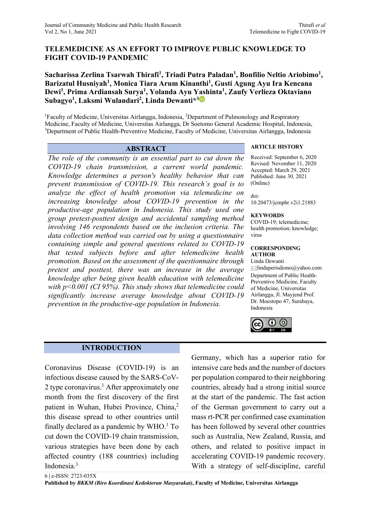# **TELEMEDICINE AS AN EFFORT TO IMPROVE PUBLIC KNOWLEDGE TO FIGHT COVID-19 PANDEMIC**

# Sacharissa Zerlina Tsarwah Thirafi<sup>1</sup>, Triadi Putra Paladan<sup>1</sup>, Bonfilio Neltio Ariobimo<sup>1</sup>, **Barizatul Husniyah1 , Monica Tiara Arum Kinanthi1 , Gusti Agung Ayu Ira Kencana Dewi1 , Prima Ardiansah Surya1 , Yolanda Ayu Yashinta1 , Zaufy Verlieza Oktaviano Subagyo1 , Laksmi Wulandari2 , Linda Dewanti\*3**

<sup>1</sup>Faculty of Medicine, Universitas Airlangga, Indonesia, <sup>2</sup>Department of Pulmonology and Respiratory Medicine, Faculty of Medicine, Universitas Airlangga, Dr Soetomo General Academic Hospital, Indonesia, 3 <sup>3</sup>Department of Public Health-Preventive Medicine, Faculty of Medicine, Universitas Airlangga, Indonesia

*The role of the community is an essential part to cut down the COVID-19 chain transmission, a current world pandemic. Knowledge determines a person's healthy behavior that can prevent transmission of COVID-19. This research's goal is to analyze the effect of health promotion via telemedicine on increasing knowledge about COVID-19 prevention in the productive-age population in Indonesia. This study used one group pretest-posttest design and accidental sampling method involving 146 respondents based on the inclusion criteria. The data collection method was carried out by using a questionnaire containing simple and general questions related to COVID-19 that tested subjects before and after telemedicine health promotion. Based on the assessment of the questionnaire through pretest and posttest, there was an increase in the average knowledge after being given health education with telemedicine with p<0.001 (CI 95%). This study shows that telemedicine could significantly increase average knowledge about COVID-19 prevention in the productive-age population in Indonesia.*

# **ABSTRACT ARTICLE HISTORY**

Received: September 6, 2020 Revised: November 11, 2020 Accepted: March 29, 2021 Published: June 30, 2021 (Online)

doi: 10.20473/jcmphr.v2i1.21883

#### **KEYWORDS**

COVID-19; telemedicine; health promotion; knowledge; virus

#### **CORRESPONDING AUTHOR**

Linda Dewanti lindaperisdiono@yahoo.com Department of Public Health-Preventive Medicine, Faculty of Medicine, Universitas Airlangga, Jl. Mayjend Prof. Dr. Moestopo 47, Surabaya, Indonesia



## **INTRODUCTION**

Coronavirus Disease (COVID-19) is an infectious disease caused by the SARS-CoV-2 type coronavirus.<sup>1</sup> After approximately one month from the first discovery of the first patient in Wuhan, Hubei Province, China,<sup>2</sup> this disease spread to other countries until finally declared as a pandemic by  $WHO<sup>1</sup>$  To cut down the COVID-19 chain transmission, various strategies have been done by each affected country (188 countries) including Indonesia.3

Germany, which has a superior ratio for intensive care beds and the number of doctors per population compared to their neighboring countries, already had a strong initial source at the start of the pandemic. The fast action of the German government to carry out a mass rt-PCR per confirmed case examination has been followed by several other countries such as Australia, New Zealand, Russia, and others, and related to positive impact in accelerating COVID-19 pandemic recovery. With a strategy of self-discipline, careful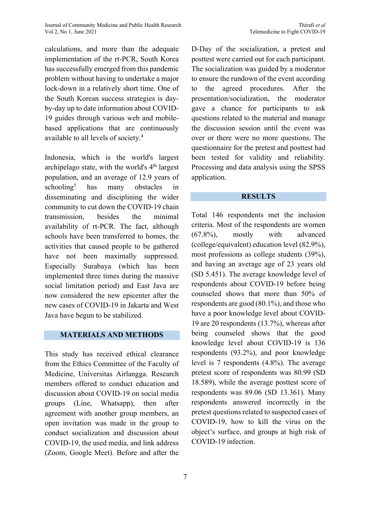calculations, and more than the adequate implementation of the rt-PCR, South Korea has successfully emerged from this pandemic problem without having to undertake a major lock-down in a relatively short time. One of the South Korean success strategies is dayby-day up to date information about COVID-19 guides through various web and mobilebased applications that are continuously available to all levels of society.4

Indonesia, which is the world's largest archipelago state, with the world's 4<sup>th</sup> largest population, and an average of 12.9 years of schooling5 has many obstacles in disseminating and disciplining the wider community to cut down the COVID-19 chain transmission, besides the minimal availability of rt-PCR. The fact, although schools have been transferred to homes, the activities that caused people to be gathered have not been maximally suppressed. Especially Surabaya (which has been implemented three times during the massive social limitation period) and East Java are now considered the new epicenter after the new cases of COVID-19 in Jakarta and West Java have begun to be stabilized.

## **MATERIALS AND METHODS**

This study has received ethical clearance from the Ethics Committee of the Faculty of Medicine, Universitas Airlangga. Research members offered to conduct education and discussion about COVID-19 on social media groups (Line, Whatsapp), then after agreement with another group members, an open invitation was made in the group to conduct socialization and discussion about COVID-19, the used media, and link address (Zoom, Google Meet). Before and after the

D-Day of the socialization, a pretest and posttest were carried out for each participant. The socialization was guided by a moderator to ensure the rundown of the event according to the agreed procedures. After the presentation/socialization, the moderator gave a chance for participants to ask questions related to the material and manage the discussion session until the event was over or there were no more questions. The questionnaire for the pretest and posttest had been tested for validity and reliability. Processing and data analysis using the SPSS application.

#### **RESULTS**

Total 146 respondents met the inclusion criteria. Most of the respondents are women (67.8%), mostly with advanced (college/equivalent) education level (82.9%), most professions as college students (39%), and having an average age of 23 years old (SD 5.451). The average knowledge level of respondents about COVID-19 before being counseled shows that more than 50% of respondents are good (80.1%), and those who have a poor knowledge level about COVID-19 are 20 respondents (13.7%), whereas after being counseled shows that the good knowledge level about COVID-19 is 136 respondents (93.2%), and poor knowledge level is 7 respondents (4.8%). The average pretest score of respondents was 80.99 (SD 18.589), while the average posttest score of respondents was 89.06 (SD 13.361). Many respondents answered incorrectly in the pretest questions related to suspected cases of COVID-19, how to kill the virus on the object's surface, and groups at high risk of COVID-19 infection.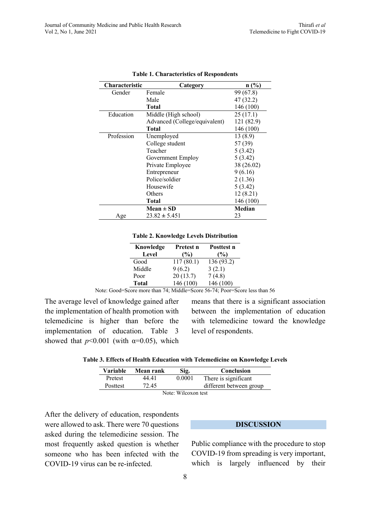| <b>Characteristic</b> | Category                      | n(%)          |
|-----------------------|-------------------------------|---------------|
| Gender                | Female                        | 99 (67.8)     |
|                       | Male                          | 47 (32.2)     |
|                       | <b>Total</b>                  | 146 (100)     |
| Education             | Middle (High school)          | 25(17.1)      |
|                       | Advanced (College/equivalent) | 121 (82.9)    |
|                       | Total                         | 146 (100)     |
| Profession            | Unemployed                    | 13(8.9)       |
|                       | College student               | 57 (39)       |
|                       | Teacher                       | 5(3.42)       |
|                       | Government Employ             | 5(3.42)       |
|                       | Private Employee              | 38 (26.02)    |
|                       | Entrepreneur                  | 9(6.16)       |
|                       | Police/soldier                | 2(1.36)       |
|                       | Housewife                     | 5(3.42)       |
|                       | Others                        | 12(8.21)      |
|                       | <b>Total</b>                  | 146 (100)     |
|                       | Mean $\pm$ SD                 | <b>Median</b> |
| Age                   | $23.82 \pm 5.451$             | 23            |

|  | <b>Table 1. Characteristics of Respondents</b> |  |  |
|--|------------------------------------------------|--|--|
|--|------------------------------------------------|--|--|

#### **Table 2. Knowledge Levels Distribution**

| Knowledge    | Pretest n | Posttest n    |
|--------------|-----------|---------------|
| Level        | (%)       | $\frac{9}{9}$ |
| Good         | 117(80.1) | 136 (93.2)    |
| Middle       | 9(6.2)    | 3(2.1)        |
| Poor         | 20(13.7)  | 7(4.8)        |
| <b>Total</b> | 146 (100) | 146 (100)     |

Note: Good=Score more than 74; Middle=Score 56-74; Poor=Score less than 56

The average level of knowledge gained after the implementation of health promotion with telemedicine is higher than before the implementation of education. Table 3 showed that  $p<0.001$  (with  $\alpha=0.05$ ), which

means that there is a significant association between the implementation of education with telemedicine toward the knowledge level of respondents.

| <b>Variable</b>                                                                                                                                                                                                                                                                                                                    | Mean rank | Sig.   | Conclusion              |  |
|------------------------------------------------------------------------------------------------------------------------------------------------------------------------------------------------------------------------------------------------------------------------------------------------------------------------------------|-----------|--------|-------------------------|--|
| Pretest                                                                                                                                                                                                                                                                                                                            | 44 41     | 0.0001 | There is significant    |  |
| Posttest                                                                                                                                                                                                                                                                                                                           | 72.45     |        | different between group |  |
| $\mathbf{M}$ $\mathbf{M}$ $\mathbf{M}$ $\mathbf{M}$ $\mathbf{M}$ $\mathbf{M}$ $\mathbf{M}$ $\mathbf{M}$ $\mathbf{M}$ $\mathbf{M}$ $\mathbf{M}$ $\mathbf{M}$ $\mathbf{M}$ $\mathbf{M}$ $\mathbf{M}$ $\mathbf{M}$ $\mathbf{M}$ $\mathbf{M}$ $\mathbf{M}$ $\mathbf{M}$ $\mathbf{M}$ $\mathbf{M}$ $\mathbf{M}$ $\mathbf{M}$ $\mathbf{$ |           |        |                         |  |

Note: Wilcoxon test

After the delivery of education, respondents were allowed to ask. There were 70 questions asked during the telemedicine session. The most frequently asked question is whether someone who has been infected with the COVID-19 virus can be re-infected.

#### **DISCUSSION**

Public compliance with the procedure to stop COVID-19 from spreading is very important, which is largely influenced by their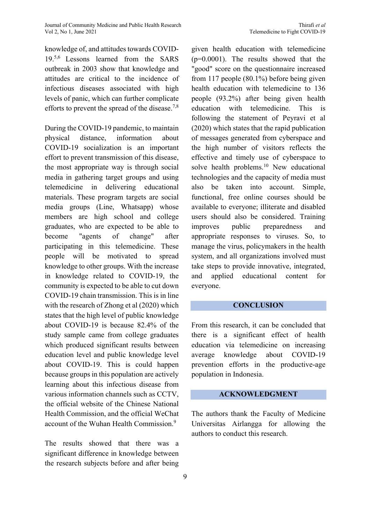knowledge of, and attitudes towards COVID-19.5,6 Lessons learned from the SARS outbreak in 2003 show that knowledge and attitudes are critical to the incidence of infectious diseases associated with high levels of panic, which can further complicate efforts to prevent the spread of the disease.<sup>7,8</sup>

During the COVID-19 pandemic, to maintain physical distance, information about COVID-19 socialization is an important effort to prevent transmission of this disease, the most appropriate way is through social media in gathering target groups and using telemedicine in delivering educational materials. These program targets are social media groups (Line, Whatsapp) whose members are high school and college graduates, who are expected to be able to become "agents of change" after participating in this telemedicine. These people will be motivated to spread knowledge to other groups. With the increase in knowledge related to COVID-19, the community is expected to be able to cut down COVID-19 chain transmission. This is in line with the research of Zhong et al (2020) which states that the high level of public knowledge about COVID-19 is because 82.4% of the study sample came from college graduates which produced significant results between education level and public knowledge level about COVID-19. This is could happen because groups in this population are actively learning about this infectious disease from various information channels such as CCTV, the official website of the Chinese National Health Commission, and the official WeChat account of the Wuhan Health Commission.<sup>9</sup>

The results showed that there was a significant difference in knowledge between the research subjects before and after being given health education with telemedicine (p=0.0001). The results showed that the "good" score on the questionnaire increased from 117 people (80.1%) before being given health education with telemedicine to 136 people (93.2%) after being given health education with telemedicine. This is following the statement of Peyravi et al (2020) which states that the rapid publication of messages generated from cyberspace and the high number of visitors reflects the effective and timely use of cyberspace to solve health problems.<sup>10</sup> New educational technologies and the capacity of media must also be taken into account. Simple, functional, free online courses should be available to everyone; illiterate and disabled users should also be considered. Training improves public preparedness and appropriate responses to viruses. So, to manage the virus, policymakers in the health system, and all organizations involved must take steps to provide innovative, integrated, and applied educational content for everyone.

## **CONCLUSION**

From this research, it can be concluded that there is a significant effect of health education via telemedicine on increasing average knowledge about COVID-19 prevention efforts in the productive-age population in Indonesia.

## **ACKNOWLEDGMENT**

The authors thank the Faculty of Medicine Universitas Airlangga for allowing the authors to conduct this research.